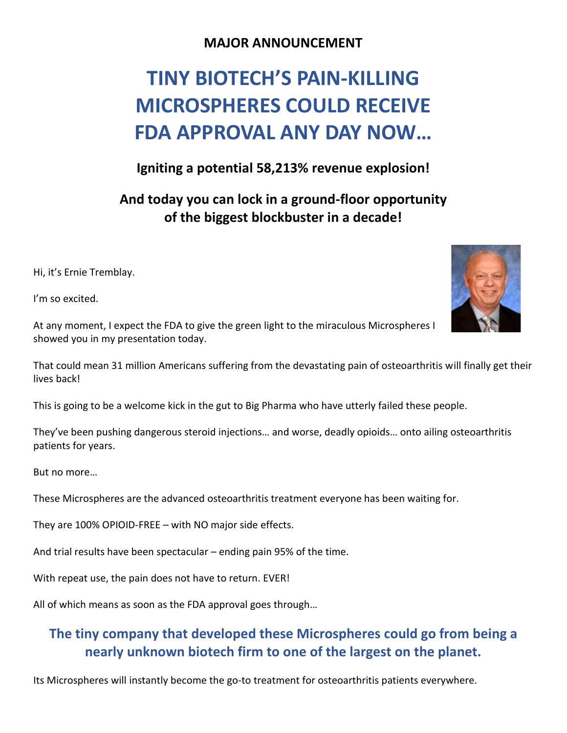### **MAJOR ANNOUNCEMENT**

# **TINY BIOTECH'S PAIN-KILLING MICROSPHERES COULD RECEIVE FDA APPROVAL ANY DAY NOW…**

### **Igniting a potential 58,213% revenue explosion!**

# **And today you can lock in a ground-floor opportunity of the biggest blockbuster in a decade!**

Hi, it's Ernie Tremblay.

I'm so excited.

At any moment, I expect the FDA to give the green light to the miraculous Microspheres I showed you in my presentation today.

That could mean 31 million Americans suffering from the devastating pain of osteoarthritis will finally get their lives back!

This is going to be a welcome kick in the gut to Big Pharma who have utterly failed these people.

They've been pushing dangerous steroid injections… and worse, deadly opioids… onto ailing osteoarthritis patients for years.

But no more…

These Microspheres are the advanced osteoarthritis treatment everyone has been waiting for.

They are 100% OPIOID-FREE – with NO major side effects.

And trial results have been spectacular – ending pain 95% of the time.

With repeat use, the pain does not have to return. EVER!

All of which means as soon as the FDA approval goes through…

# **The tiny company that developed these Microspheres could go from being a nearly unknown biotech firm to one of the largest on the planet.**

Its Microspheres will instantly become the go-to treatment for osteoarthritis patients everywhere.

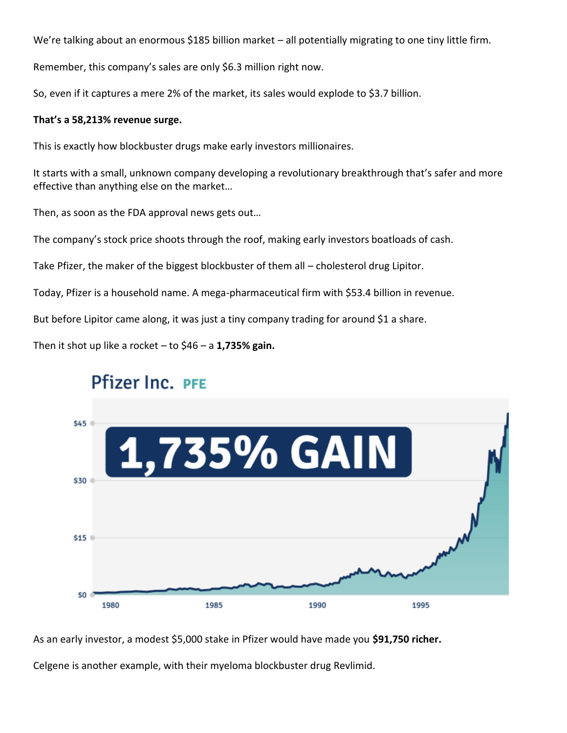We're talking about an enormous \$185 billion market – all potentially migrating to one tiny little firm.

Remember, this company's sales are only \$6.3 million right now.

So, even if it captures a mere 2% of the market, its sales would explode to \$3.7 billion.

#### **That's a 58,213% revenue surge.**

This is exactly how blockbuster drugs make early investors millionaires.

It starts with a small, unknown company developing a revolutionary breakthrough that's safer and more effective than anything else on the market…

Then, as soon as the FDA approval news gets out…

The company's stock price shoots through the roof, making early investors boatloads of cash.

Take Pfizer, the maker of the biggest blockbuster of them all – cholesterol drug Lipitor.

Today, Pfizer is a household name. A mega-pharmaceutical firm with \$53.4 billion in revenue.

But before Lipitor came along, it was just a tiny company trading for around \$1 a share.

Then it shot up like a rocket – to \$46 – a **1,735% gain.**



# Pfizer Inc. PFE

As an early investor, a modest \$5,000 stake in Pfizer would have made you **\$91,750 richer.**

Celgene is another example, with their myeloma blockbuster drug Revlimid.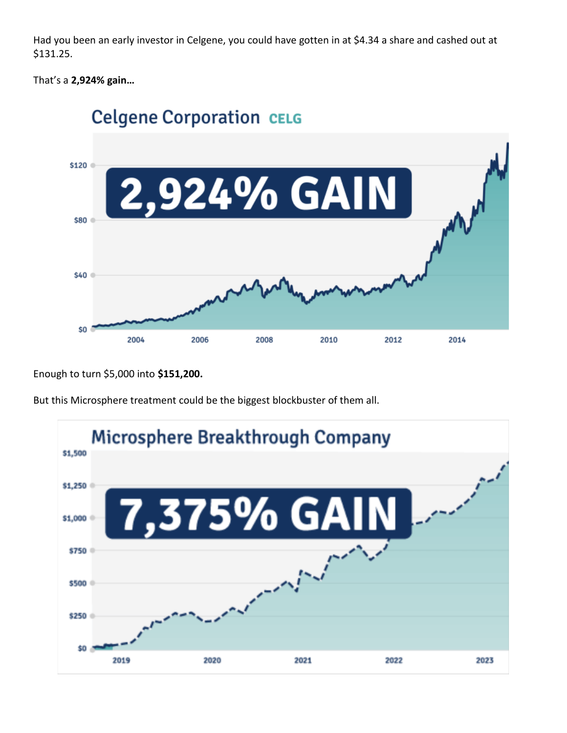Had you been an early investor in Celgene, you could have gotten in at \$4.34 a share and cashed out at \$131.25.

That's a **2,924% gain…**



Enough to turn \$5,000 into **\$151,200.**



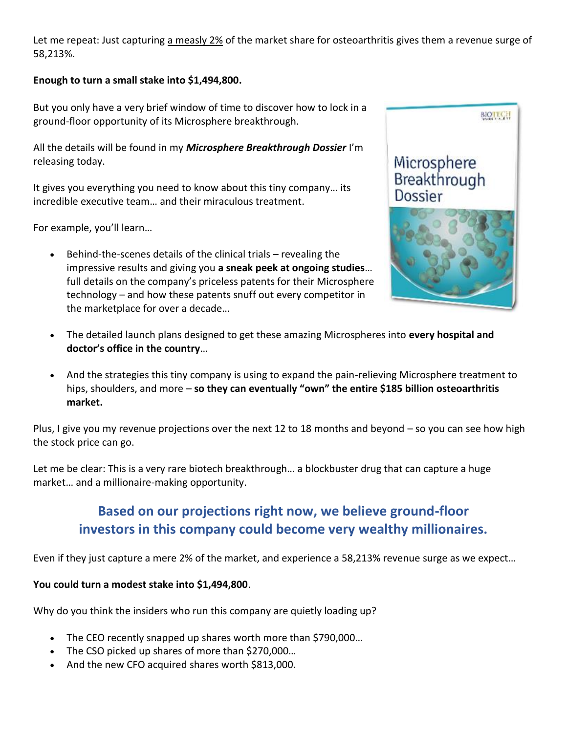Let me repeat: Just capturing a measly 2% of the market share for osteoarthritis gives them a revenue surge of 58,213%.

### **Enough to turn a small stake into \$1,494,800.**

But you only have a very brief window of time to discover how to lock in a ground-floor opportunity of its Microsphere breakthrough.

All the details will be found in my *Microsphere Breakthrough Dossier* I'm releasing today.

It gives you everything you need to know about this tiny company… its incredible executive team… and their miraculous treatment.

For example, you'll learn…

• Behind-the-scenes details of the clinical trials – revealing the impressive results and giving you **a sneak peek at ongoing studies**… full details on the company's priceless patents for their Microsphere technology – and how these patents snuff out every competitor in the marketplace for over a decade…



- The detailed launch plans designed to get these amazing Microspheres into **every hospital and doctor's office in the country**…
- And the strategies this tiny company is using to expand the pain-relieving Microsphere treatment to hips, shoulders, and more – **so they can eventually "own" the entire \$185 billion osteoarthritis market.**

Plus, I give you my revenue projections over the next 12 to 18 months and beyond – so you can see how high the stock price can go.

Let me be clear: This is a very rare biotech breakthrough… a blockbuster drug that can capture a huge market… and a millionaire-making opportunity.

# **Based on our projections right now, we believe ground-floor investors in this company could become very wealthy millionaires.**

Even if they just capture a mere 2% of the market, and experience a 58,213% revenue surge as we expect…

### **You could turn a modest stake into \$1,494,800**.

Why do you think the insiders who run this company are quietly loading up?

- The CEO recently snapped up shares worth more than \$790,000...
- The CSO picked up shares of more than \$270,000...
- And the new CFO acquired shares worth \$813,000.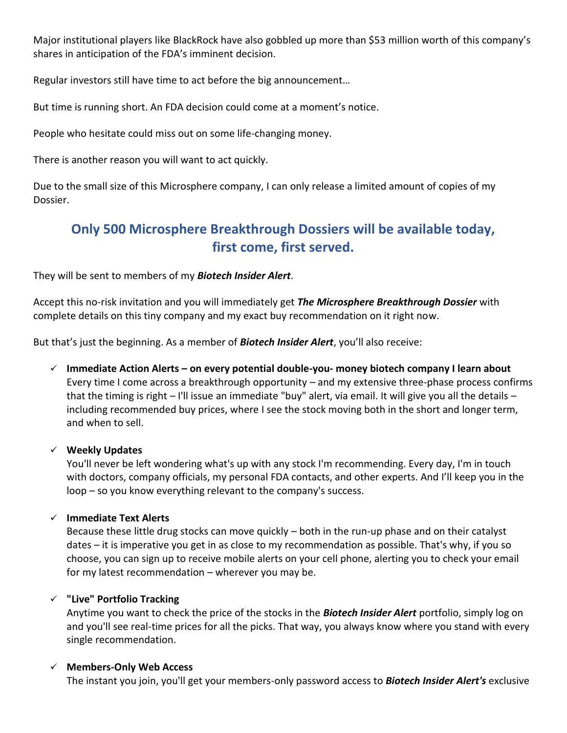Major institutional players like BlackRock have also gobbled up more than \$53 million worth of this company's shares in anticipation of the FDA's imminent decision.

Regular investors still have time to act before the big announcement…

But time is running short. An FDA decision could come at a moment's notice.

People who hesitate could miss out on some life-changing money.

There is another reason you will want to act quickly.

Due to the small size of this Microsphere company, I can only release a limited amount of copies of my Dossier.

## **Only 500 Microsphere Breakthrough Dossiers will be available today, first come, first served.**

They will be sent to members of my *Biotech Insider Alert*.

Accept this no-risk invitation and you will immediately get *The Microsphere Breakthrough Dossier* with complete details on this tiny company and my exact buy recommendation on it right now.

But that's just the beginning. As a member of *Biotech Insider Alert*, you'll also receive:

✓ **Immediate Action Alerts – on every potential double-you- money biotech company I learn about** Every time I come across a breakthrough opportunity – and my extensive three-phase process confirms that the timing is right – I'll issue an immediate "buy" alert, via email. It will give you all the details – including recommended buy prices, where I see the stock moving both in the short and longer term, and when to sell.

#### ✓ **Weekly Updates**

You'll never be left wondering what's up with any stock I'm recommending. Every day, I'm in touch with doctors, company officials, my personal FDA contacts, and other experts. And I'll keep you in the loop – so you know everything relevant to the company's success.

#### ✓ **Immediate Text Alerts**

Because these little drug stocks can move quickly – both in the run-up phase and on their catalyst dates – it is imperative you get in as close to my recommendation as possible. That's why, if you so choose, you can sign up to receive mobile alerts on your cell phone, alerting you to check your email for my latest recommendation – wherever you may be.

### ✓ **"Live" Portfolio Tracking**

Anytime you want to check the price of the stocks in the *Biotech Insider Alert* portfolio, simply log on and you'll see real-time prices for all the picks. That way, you always know where you stand with every single recommendation.

### ✓ **Members-Only Web Access**

The instant you join, you'll get your members-only password access to *Biotech Insider Alert's* exclusive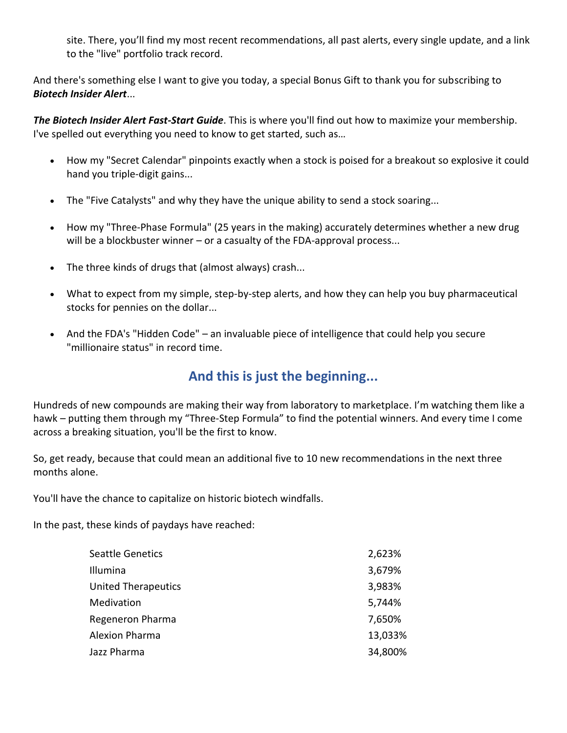site. There, you'll find my most recent recommendations, all past alerts, every single update, and a link to the "live" portfolio track record.

And there's something else I want to give you today, a special Bonus Gift to thank you for subscribing to *Biotech Insider Alert*...

*The Biotech Insider Alert Fast-Start Guide*. This is where you'll find out how to maximize your membership. I've spelled out everything you need to know to get started, such as…

- How my "Secret Calendar" pinpoints exactly when a stock is poised for a breakout so explosive it could hand you triple-digit gains...
- The "Five Catalysts" and why they have the unique ability to send a stock soaring...
- How my "Three-Phase Formula" (25 years in the making) accurately determines whether a new drug will be a blockbuster winner – or a casualty of the FDA-approval process...
- The three kinds of drugs that (almost always) crash...
- What to expect from my simple, step-by-step alerts, and how they can help you buy pharmaceutical stocks for pennies on the dollar...
- And the FDA's "Hidden Code" an invaluable piece of intelligence that could help you secure "millionaire status" in record time.

### **And this is just the beginning...**

Hundreds of new compounds are making their way from laboratory to marketplace. I'm watching them like a hawk – putting them through my "Three-Step Formula" to find the potential winners. And every time I come across a breaking situation, you'll be the first to know.

So, get ready, because that could mean an additional five to 10 new recommendations in the next three months alone.

You'll have the chance to capitalize on historic biotech windfalls.

In the past, these kinds of paydays have reached:

| <b>Seattle Genetics</b>    | 2,623%  |
|----------------------------|---------|
| Illumina                   | 3,679%  |
| <b>United Therapeutics</b> | 3,983%  |
| Medivation                 | 5,744%  |
| Regeneron Pharma           | 7,650%  |
| <b>Alexion Pharma</b>      | 13,033% |
| Jazz Pharma                | 34,800% |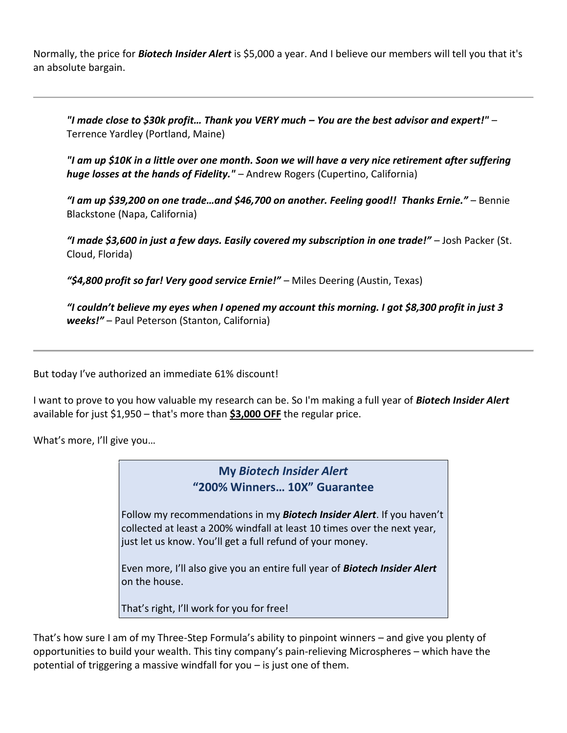Normally, the price for *Biotech Insider Alert* is \$5,000 a year. And I believe our members will tell you that it's an absolute bargain.

*"I made close to \$30k profit… Thank you VERY much – You are the best advisor and expert!"* – Terrence Yardley (Portland, Maine)

*"I am up \$10K in a little over one month. Soon we will have a very nice retirement after suffering huge losses at the hands of Fidelity."* – Andrew Rogers (Cupertino, California)

*"I am up \$39,200 on one trade…and \$46,700 on another. Feeling good!! Thanks Ernie."* – Bennie Blackstone (Napa, California)

*"I made \$3,600 in just a few days. Easily covered my subscription in one trade!"* – Josh Packer (St. Cloud, Florida)

*"\$4,800 profit so far! Very good service Ernie!"* – Miles Deering (Austin, Texas)

*"I couldn't believe my eyes when I opened my account this morning. I got \$8,300 profit in just 3 weeks!"* – Paul Peterson (Stanton, California)

But today I've authorized an immediate 61% discount!

I want to prove to you how valuable my research can be. So I'm making a full year of *Biotech Insider Alert* available for just \$1,950 – that's more than **\$3,000 OFF** the regular price.

What's more, I'll give you…

**My** *Biotech Insider Alert* **"200% Winners… 10X" Guarantee**

Follow my recommendations in my *Biotech Insider Alert*. If you haven't collected at least a 200% windfall at least 10 times over the next year, just let us know. You'll get a full refund of your money.

Even more, I'll also give you an entire full year of *Biotech Insider Alert*  on the house.

That's right, I'll work for you for free!

That's how sure I am of my Three-Step Formula's ability to pinpoint winners – and give you plenty of opportunities to build your wealth. This tiny company's pain-relieving Microspheres – which have the potential of triggering a massive windfall for you – is just one of them.